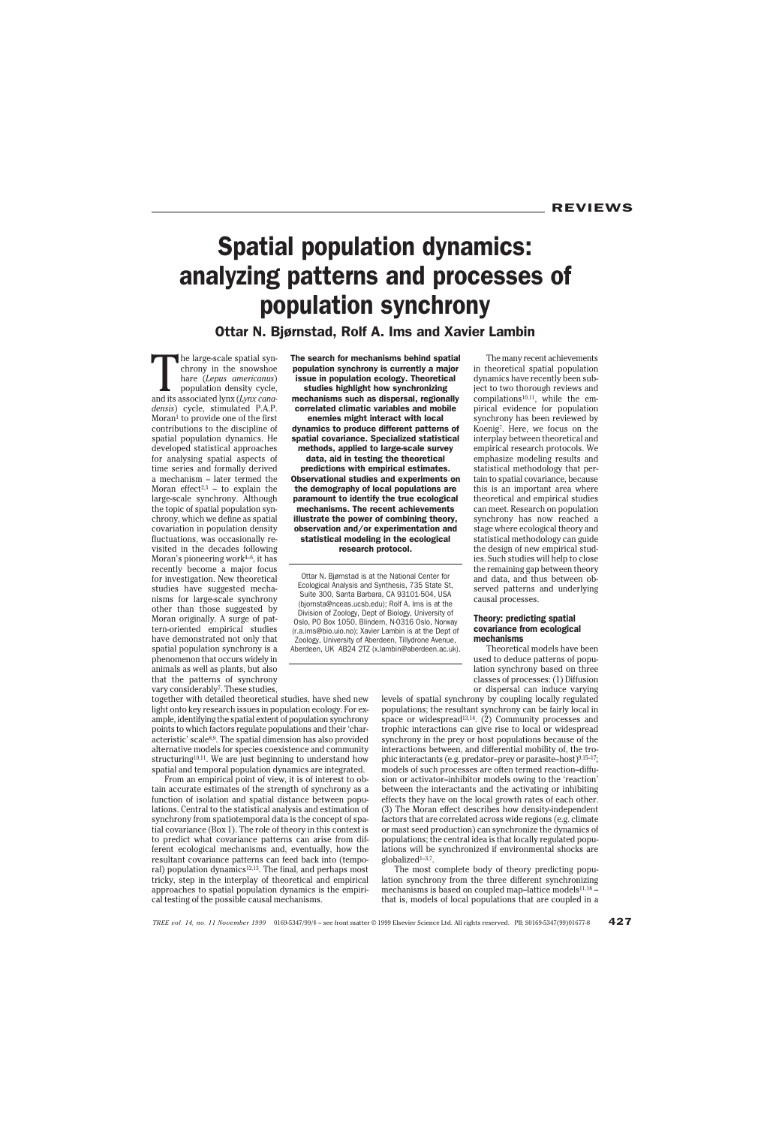# Spatial population dynamics: analyzing patterns and processes of population synchrony

Ottar N. Bjørnstad, Rolf A. Ims and Xavier Lambin

The large-scale spatial syn-<br>chrony in the snowshoe<br>hare *(Lepus americanus)*<br>population density cycle,<br>and its associated lynx *(Lynx cana*chrony in the snowshoe hare (*Lepus americanus*) population density cycle, *densis*) cycle, stimulated P.A.P. Moran1 to provide one of the first contributions to the discipline of spatial population dynamics. He developed statistical approaches for analysing spatial aspects of time series and formally derived a mechanism – later termed the Moran effect<sup>2,3</sup> - to explain the large-scale synchrony. Although the topic of spatial population synchrony, which we define as spatial covariation in population density fluctuations, was occasionally revisited in the decades following Moran's pioneering work $4-6$ , it has recently become a major focus for investigation. New theoretical studies have suggested mechanisms for large-scale synchrony other than those suggested by Moran originally. A surge of pattern-oriented empirical studies have demonstrated not only that spatial population synchrony is a phenomenon that occurs widely in animals as well as plants, but also that the patterns of synchrony vary considerably<sup>7</sup>. These studies,

The search for mechanisms behind spatial population synchrony is currently a major issue in population ecology. Theoretical studies highlight how synchronizing mechanisms such as dispersal, regionally correlated climatic variables and mobile

enemies might interact with local dynamics to produce different patterns of spatial covariance. Specialized statistical methods, applied to large-scale survey data, aid in testing the theoretical predictions with empirical estimates. Observational studies and experiments on the demography of local populations are paramount to identify the true ecological mechanisms. The recent achievements illustrate the power of combining theory, observation and/or experimentation and statistical modeling in the ecological research protocol.

Ottar N. Bjørnstad is at the National Center for Ecological Analysis and Synthesis, 735 State St, Suite 300, Santa Barbara, CA 93101-504, USA (bjornsta@nceas.ucsb.edu); Rolf A. Ims is at the Division of Zoology, Dept of Biology, University of Oslo, PO Box 1050, Blindern, N-0316 Oslo, Norway (r.a.ims@bio.uio.no); Xavier Lambin is at the Dept of Zoology, University of Aberdeen, Tillydrone Avenue, Aberdeen, UK AB24 2TZ (x.lambin@aberdeen.ac.uk).

The many recent achievements in theoretical spatial population dynamics have recently been subject to two thorough reviews and  $complations<sup>10,11</sup>$ , while the empirical evidence for population synchrony has been reviewed by Koenig7. Here, we focus on the interplay between theoretical and empirical research protocols. We emphasize modeling results and statistical methodology that pertain to spatial covariance, because this is an important area where theoretical and empirical studies can meet. Research on population synchrony has now reached a stage where ecological theory and statistical methodology can guide the design of new empirical studies. Such studies will help to close the remaining gap between theory and data, and thus between observed patterns and underlying causal processes.

## Theory: predicting spatial covariance from ecological mechanisms

Theoretical models have been used to deduce patterns of population synchrony based on three classes of processes: (1) Diffusion or dispersal can induce varying

together with detailed theoretical studies, have shed new light onto key research issues in population ecology. For example, identifying the spatial extent of population synchrony points to which factors regulate populations and their 'characteristic' scale8,9. The spatial dimension has also provided alternative models for species coexistence and community structuring<sup>10,11</sup>. We are just beginning to understand how spatial and temporal population dynamics are integrated.

From an empirical point of view, it is of interest to obtain accurate estimates of the strength of synchrony as a function of isolation and spatial distance between populations. Central to the statistical analysis and estimation of synchrony from spatiotemporal data is the concept of spatial covariance (Box 1). The role of theory in this context is to predict what covariance patterns can arise from different ecological mechanisms and, eventually, how the resultant covariance patterns can feed back into (temporal) population dynamics<sup>12,13</sup>. The final, and perhaps most tricky, step in the interplay of theoretical and empirical approaches to spatial population dynamics is the empirical testing of the possible causal mechanisms.

levels of spatial synchrony by coupling locally regulated populations; the resultant synchrony can be fairly local in space or widespread<sup>13,14</sup>. (2) Community processes and trophic interactions can give rise to local or widespread synchrony in the prey or host populations because of the interactions between, and differential mobility of, the trophic interactants (e.g. predator-prey or parasite-host)9,15-17; models of such processes are often termed reaction–diffusion or activator–inhibitor models owing to the 'reaction' between the interactants and the activating or inhibiting effects they have on the local growth rates of each other. (3) The Moran effect describes how density-independent factors that are correlated across wide regions (e.g. climate or mast seed production) can synchronize the dynamics of populations; the central idea is that locally regulated populations will be synchronized if environmental shocks are globalized1–3,7.

The most complete body of theory predicting population synchrony from the three different synchronizing mechanisms is based on coupled map-lattice models<sup>11,18</sup> that is, models of local populations that are coupled in a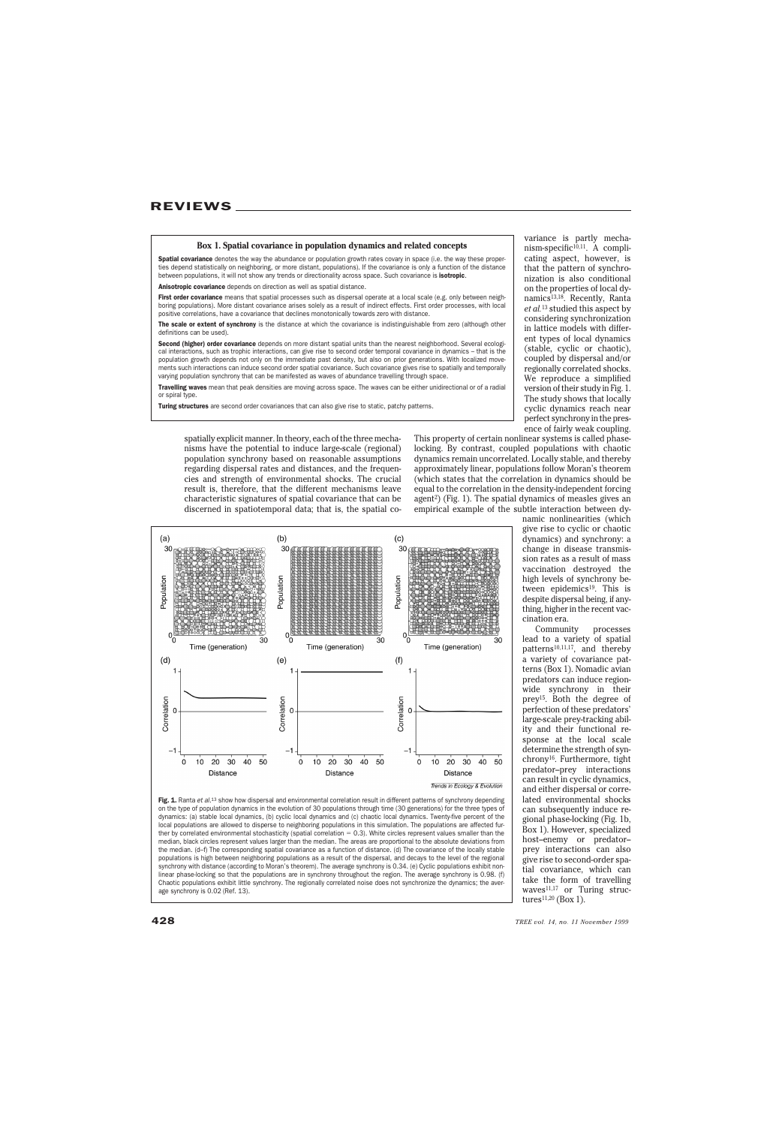#### **Box 1. Spatial covariance in population dynamics and related concepts**

Spatial covariance denotes the way the abundance or population growth rates covary in space (i.e. the way these properties depend statistically on neighboring, or more distant, populations). If the covariance is only a function of the distance between populations, it will not show any trends or directionality across space. Such covariance is **isotropic**.

Anisotropic covariance depends on direction as well as spatial distance.

First order covariance means that spatial processes such as dispersal operate at a local scale (e.g. only between neighboring populations). More distant covariance arises solely as a result of indirect effects. First order processes, with local positive correlations, have a covariance that declines monotonically towards zero with distance.

The scale or extent of synchrony is the distance at which the covariance is indistinguishable from zero (although other definitions can be used).

Second (higher) order covariance depends on more distant spatial units than the nearest neighborhood. Several ecological interactions, such as trophic interactions, can give rise to second order temporal covariance in dynamics – that is the population growth depends not only on the immediate past density, but also on prior generations. With localized movements such interactions can induce second order spatial covariance. Such covariance gives rise to spatially and temporally varying population synchrony that can be manifested as waves of abundance travelling through space.

Travelling waves mean that peak densities are moving across space. The waves can be either unidirectional or of a radial or spiral type.

Turing structures are second order covariances that can also give rise to static, patchy patterns.

spatially explicit manner. In theory, each of the three mechanisms have the potential to induce large-scale (regional) population synchrony based on reasonable assumptions regarding dispersal rates and distances, and the frequencies and strength of environmental shocks. The crucial result is, therefore, that the different mechanisms leave characteristic signatures of spatial covariance that can be discerned in spatiotemporal data; that is, the spatial co-

cating aspect, however, is that the pattern of synchronization is also conditional on the properties of local dynamics<sup>13,18</sup>. Recently, Ranta *et al.*<sup>13</sup> studied this aspect by considering synchronization in lattice models with different types of local dynamics (stable, cyclic or chaotic), coupled by dispersal and/or regionally correlated shocks. We reproduce a simplified version of their study in Fig. 1. The study shows that locally cyclic dynamics reach near perfect synchrony in the presence of fairly weak coupling.

variance is partly mecha $nism-specific<sup>10,11</sup>$ . A compli-

This property of certain nonlinear systems is called phaselocking. By contrast, coupled populations with chaotic dynamics remain uncorrelated. Locally stable, and thereby approximately linear, populations follow Moran's theorem (which states that the correlation in dynamics should be equal to the correlation in the density-independent forcing agent<sup>2</sup>) (Fig. 1). The spatial dynamics of measles gives an empirical example of the subtle interaction between dy-



Fig. 1. Ranta et al.<sup>13</sup> show how dispersal and environmental correlation result in different patterns of synchrony depending on the type of population dynamics in the evolution of 30 populations through time (30 generations) for the three types of dynamics: (a) stable local dynamics, (b) cyclic local dynamics and (c) chaotic local dynamics. Twenty-five percent of the local populations are allowed to disperse to neighboring populations in this simulation. The populations are affected further by correlated environmental stochasticity (spatial correlation  $= 0.3$ ). White circles represent values smaller than the median, black circles represent values larger than the median. The areas are proportional to the absolute deviations from the median. (d–f) The corresponding spatial covariance as a function of distance. (d) The covariance of the locally stable populations is high between neighboring populations as a result of the dispersal, and decays to the level of the regional synchrony with distance (according to Moran's theorem). The average synchrony is 0.34. (e) Cyclic populations exhibit nonlinear phase-locking so that the populations are in synchrony throughout the region. The average synchrony is 0.98. (f) Chaotic populations exhibit little synchrony. The regionally correlated noise does not synchronize the dynamics; the average synchrony is 0.02 (Ref. 13).

namic nonlinearities (which give rise to cyclic or chaotic dynamics) and synchrony: a change in disease transmission rates as a result of mass vaccination destroyed the high levels of synchrony between epidemics<sup>19</sup>. This is despite dispersal being, if anything, higher in the recent vaccination era.

Community processes lead to a variety of spatial patterns10,11,17, and thereby a variety of covariance patterns (Box 1). Nomadic avian predators can induce regionwide synchrony in their prey15. Both the degree of perfection of these predators' large-scale prey-tracking ability and their functional response at the local scale determine the strength of synchrony16. Furthermore, tight predator–prey interactions can result in cyclic dynamics, and either dispersal or correlated environmental shocks can subsequently induce regional phase-locking (Fig. 1b, Box 1). However, specialized host–enemy or predator– prey interactions can also give rise to second-order spatial covariance, which can take the form of travelling waves<sup>11,17</sup> or Turing structures<sup>11,20</sup> (Box 1).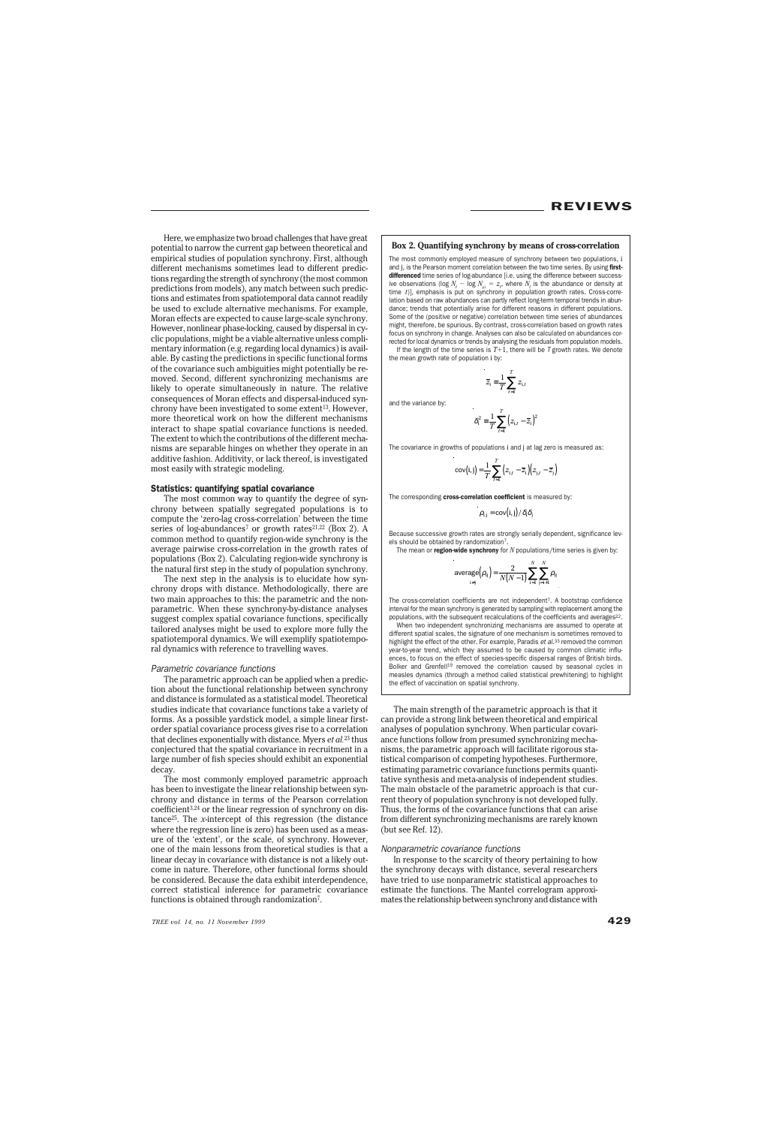Here, we emphasize two broad challenges that have great potential to narrow the current gap between theoretical and empirical studies of population synchrony. First, although different mechanisms sometimes lead to different predictions regarding the strength of synchrony (the most common predictions from models), any match between such predictions and estimates from spatiotemporal data cannot readily be used to exclude alternative mechanisms. For example, Moran effects are expected to cause large-scale synchrony. However, nonlinear phase-locking, caused by dispersal in cyclic populations, might be a viable alternative unless complimentary information (e.g. regarding local dynamics) is available. By casting the predictions in specific functional forms of the covariance such ambiguities might potentially be removed. Second, different synchronizing mechanisms are likely to operate simultaneously in nature. The relative consequences of Moran effects and dispersal-induced synchrony have been investigated to some extent<sup>13</sup>. However, more theoretical work on how the different mechanisms interact to shape spatial covariance functions is needed. The extent to which the contributions of the different mechanisms are separable hinges on whether they operate in an additive fashion. Additivity, or lack thereof, is investigated most easily with strategic modeling.

## Statistics: quantifying spatial covariance

The most common way to quantify the degree of synchrony between spatially segregated populations is to compute the 'zero-lag cross-correlation' between the time series of log-abundances<sup>7</sup> or growth rates<sup>21,22</sup> (Box 2). A common method to quantify region-wide synchrony is the average pairwise cross-correlation in the growth rates of populations (Box 2). Calculating region-wide synchrony is the natural first step in the study of population synchrony.

The next step in the analysis is to elucidate how synchrony drops with distance. Methodologically, there are two main approaches to this: the parametric and the nonparametric. When these synchrony-by-distance analyses suggest complex spatial covariance functions, specifically tailored analyses might be used to explore more fully the spatiotemporal dynamics. We will exemplify spatiotemporal dynamics with reference to travelling waves.

#### Parametric covariance functions

The parametric approach can be applied when a prediction about the functional relationship between synchrony and distance is formulated as a statistical model. Theoretical studies indicate that covariance functions take a variety of forms. As a possible yardstick model, a simple linear firstorder spatial covariance process gives rise to a correlation that declines exponentially with distance. Myers *et al.*<sup>23</sup> thus conjectured that the spatial covariance in recruitment in a large number of fish species should exhibit an exponential decay.

The most commonly employed parametric approach has been to investigate the linear relationship between synchrony and distance in terms of the Pearson correlation coefficient3,24 or the linear regression of synchrony on distance25. The *x*-intercept of this regression (the distance where the regression line is zero) has been used as a measure of the 'extent', or the scale, of synchrony. However, one of the main lessons from theoretical studies is that a linear decay in covariance with distance is not a likely outcome in nature. Therefore, other functional forms should be considered. Because the data exhibit interdependence, correct statistical inference for parametric covariance functions is obtained through randomization<sup>7</sup>.

## **Box 2. Quantifying synchrony by means of cross-correlation**

The most commonly employed measure of synchrony between two populations, i and i, is the Pearson moment correlation between the two time series. By using firstdifferenced time series of log-abundance [i.e. using the difference between successive observations (log  $N_t - \log N_{t_1} = z_t$ , where  $N_t$  is the abundance or density at time *t*)], emphasis is put on synchrony in population growth rates. Cross-correlation based on raw abundances can partly reflect long-term temporal trends in abundance; trends that potentially arise for different reasons in different populations. Some of the (positive or negative) correlation between time series of abundances might, therefore, be spurious. By contrast, cross-correlation based on growth rates focus on synchrony in change. Analyses can also be calculated on abundances corrected for local dynamics or trends by analysing the residuals from population models. If the length of the time series is  $T+1$ , there will be T growth rates. We denote

the mean growth rate of population i by:

 $\overline{z}_i \equiv \frac{1}{T} \sum_{i,j} z_{i,j}$ *t*

*T*  $z_i \equiv \frac{1}{T} \sum_i z_i$ = 1

and the variance by:

$$
\delta_{i}^{2} = \frac{1}{T} \sum_{t=1}^{T} (z_{i,t} - \overline{z}_{i})^{2}
$$

The covariance in growths of populations i and j at lag zero is measured as:

$$
cov(i,j) = \frac{1}{T} \sum_{t=1}^{T} \left( z_{i,t} - \overline{z}_i \right) \left( z_{j,t} - \overline{z}_j \right)
$$

The corresponding cross-correlation coefficient is measured by:  $\sim 10^{-1}$ 

$$
\rho_{i,j} = \text{cov}(i,j)/\delta_i \delta_j
$$

Because successive growth rates are strongly serially dependent, significance levels should be obtained by randomization7.

The mean or **region-wide synchrony** for *N* populations/time series is given by:

$$
\text{average}(\rho_{ij}) = \frac{2}{N(N-1)} \sum_{i=1}^{N} \sum_{j=i+1}^{N} \rho_{ij}
$$

The cross-correlation coefficients are not independent7. A bootstrap confidence interval for the mean synchrony is generated by sampling with replacement among the populations, with the subsequent recalculations of the coefficients and averages<sup>22</sup>. When two independent synchronizing mechanisms are assumed to operate at different spatial scales, the signature of one mechanism is sometimes removed to highlight the effect of the other. For example, Paradis et al.<sup>33</sup> removed the common year-to-year trend, which they assumed to be caused by common climatic influences, to focus on the effect of species-specific dispersal ranges of British birds. Bolker and Grenfell<sup>19</sup> removed the correlation caused by seasonal cycles in measles dynamics (through a method called statistical prewhitening) to highlight the effect of vaccination on spatial synchrony.

The main strength of the parametric approach is that it can provide a strong link between theoretical and empirical analyses of population synchrony. When particular covariance functions follow from presumed synchronizing mechanisms, the parametric approach will facilitate rigorous statistical comparison of competing hypotheses. Furthermore, estimating parametric covariance functions permits quantitative synthesis and meta-analysis of independent studies. The main obstacle of the parametric approach is that current theory of population synchrony is not developed fully. Thus, the forms of the covariance functions that can arise from different synchronizing mechanisms are rarely known (but see Ref. 12).

### Nonparametric covariance functions

In response to the scarcity of theory pertaining to how the synchrony decays with distance, several researchers have tried to use nonparametric statistical approaches to estimate the functions. The Mantel correlogram approximates the relationship between synchrony and distance with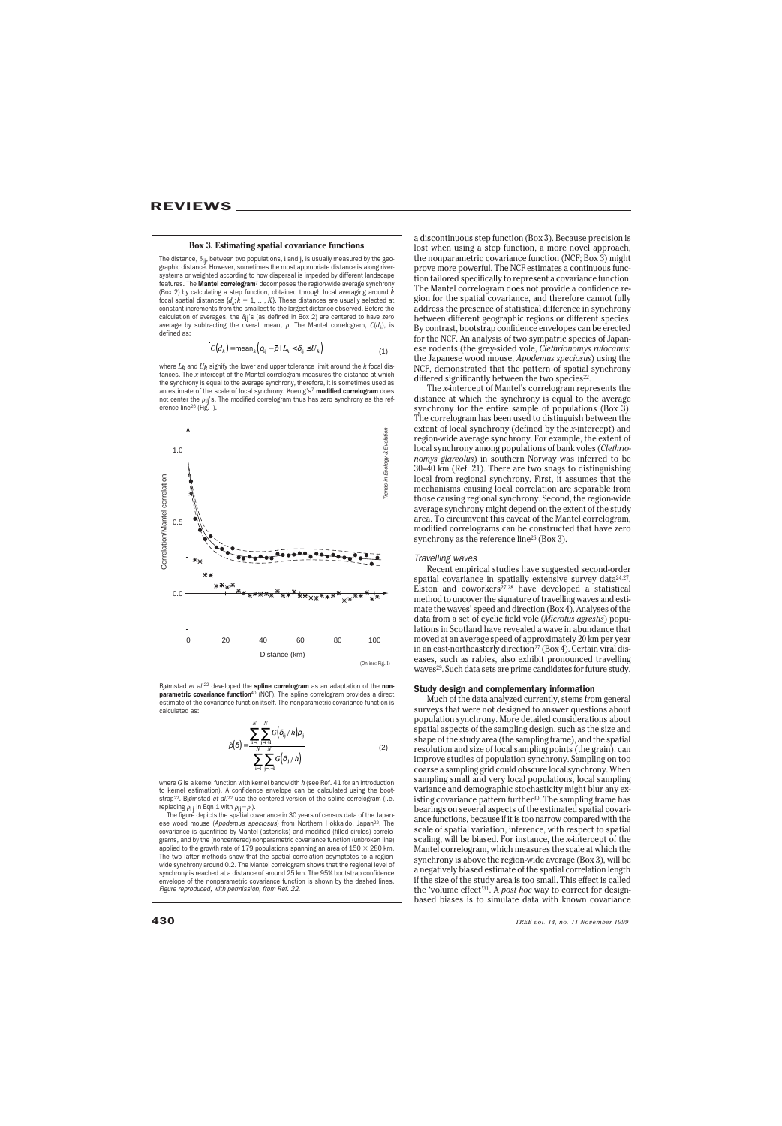# **Box 3. Estimating spatial covariance functions**

The distance,  $\delta_{ij}$ , between two populations, i and j, is usually measured by the geographic distance. However, sometimes the most appropriate distance is along riversystems or weighted according to how dispersal is impeded by different landscape features. The **Mantel correlogram**<sup>7</sup> decomposes the region-wide average synchrony (Box 2) by calculating a step function, obtained through local averaging around *k* focal spatial distances  $\{d_k; k = 1, ..., K\}$ . These distances are usually selected at constant increments from the smallest to the largest distance observed. Before the calculation of averages, the  $\delta_{ij}$ 's (as defined in Box 2) are centered to have zero average by subtracting the overall mean,  $\rho$ . The Mantel correlogram,  $C(d_k)$ , is defined as:

$$
C(d_k) = \text{mean}_k \Big( \rho_{ij} - \overline{\rho} \mid L_k < \delta_{ij} \le U_k \Big) \tag{1}
$$

where  $L_k$  and  $U_k$  signify the lower and upper tolerance limit around the  $k$  focal distances. The *x*-intercept of the Mantel correlogram measures the distance at which the synchrony is equal to the average synchrony, therefore, it is sometimes used as an estimate of the scale of local synchrony. Koenig's7 modified correlogram does not center the  $\rho_{ii}$ 's. The modified correlogram thus has zero synchrony as the reference line<sup>26</sup> (Fig. I).



Bjørnstad et al.<sup>22</sup> developed the spline correlogram as an adaptation of the nonparametric covariance function<sup>40</sup> (NCF). The spline correlogram provides a direct estimate of the covariance function itself. The nonparametric covariance function is calculated as:

$$
\bar{\rho}(\delta) = \frac{\sum_{i=1}^{N} \sum_{j=i+1}^{N} G(\delta_{ij} / h) \rho_{ij}}{\sum_{i=1}^{N} \sum_{j=i+1}^{N} G(\delta_{ij} / h)}
$$
(2)

where *G* is a kernel function with kernel bandwidth *h* (see Ref. 41 for an introduction to kernel estimation). A confidence envelope can be calculated using the bootstrap<sup>22</sup>. Bjørnstad et al.<sup>22</sup> use the centered version of the spline correlogram (i.e. replacing  $\rho_{ij}$  in Eqn 1 with  $\rho_{ij} - \bar{\rho}$  ).

The figure depicts the spatial covariance in 30 years of census data of the Japanese wood mouse (Apodemus speciosus) from Northern Hokkaido, Japan22. The covariance is quantified by Mantel (asterisks) and modified (filled circles) correlograms, and by the (noncentered) nonparametric covariance function (unbroken line) applied to the growth rate of 179 populations spanning an area of 150  $\times$  280 km. The two latter methods show that the spatial correlation asymptotes to a regionwide synchrony around 0.2. The Mantel correlogram shows that the regional level of synchrony is reached at a distance of around 25 km. The 95% bootstrap confidence envelope of the nonparametric covariance function is shown by the dashed lines. Figure reproduced, with permission, from Ref. 22.

a discontinuous step function (Box 3). Because precision is lost when using a step function, a more novel approach, the nonparametric covariance function (NCF; Box 3) might prove more powerful. The NCF estimates a continuous function tailored specifically to represent a covariance function. The Mantel correlogram does not provide a confidence region for the spatial covariance, and therefore cannot fully address the presence of statistical difference in synchrony between different geographic regions or different species. By contrast, bootstrap confidence envelopes can be erected for the NCF. An analysis of two sympatric species of Japanese rodents (the grey-sided vole, *Clethrionomys rufocanus*; the Japanese wood mouse, *Apodemus speciosus*) using the NCF, demonstrated that the pattern of spatial synchrony differed significantly between the two species $22$ .

The *x*-intercept of Mantel's correlogram represents the distance at which the synchrony is equal to the average synchrony for the entire sample of populations (Box 3). The correlogram has been used to distinguish between the extent of local synchrony (defined by the *x*-intercept) and region-wide average synchrony. For example, the extent of local synchrony among populations of bank voles (*Clethrionomys glareolus*) in southern Norway was inferred to be 30–40 km (Ref. 21). There are two snags to distinguishing local from regional synchrony. First, it assumes that the mechanisms causing local correlation are separable from those causing regional synchrony. Second, the region-wide average synchrony might depend on the extent of the study area. To circumvent this caveat of the Mantel correlogram, modified correlograms can be constructed that have zero synchrony as the reference line<sup>26</sup> (Box 3).

#### Travelling waves

Recent empirical studies have suggested second-order spatial covariance in spatially extensive survey data $24,27$ . Elston and coworkers $^{27,28}$  have developed a statistical method to uncover the signature of travelling waves and estimate the waves' speed and direction (Box 4). Analyses of the data from a set of cyclic field vole (*Microtus agrestis*) populations in Scotland have revealed a wave in abundance that moved at an average speed of approximately 20 km per year in an east-northeasterly direction<sup>27</sup> (Box 4). Certain viral diseases, such as rabies, also exhibit pronounced travelling waves<sup>29</sup>. Such data sets are prime candidates for future study.

## Study design and complementary information

Much of the data analyzed currently, stems from general surveys that were not designed to answer questions about population synchrony. More detailed considerations about spatial aspects of the sampling design, such as the size and shape of the study area (the sampling frame), and the spatial resolution and size of local sampling points (the grain), can improve studies of population synchrony. Sampling on too coarse a sampling grid could obscure local synchrony. When sampling small and very local populations, local sampling variance and demographic stochasticity might blur any existing covariance pattern further<sup>30</sup>. The sampling frame has bearings on several aspects of the estimated spatial covariance functions, because if it is too narrow compared with the scale of spatial variation, inference, with respect to spatial scaling, will be biased. For instance, the *x*-intercept of the Mantel correlogram, which measures the scale at which the synchrony is above the region-wide average (Box 3), will be a negatively biased estimate of the spatial correlation length if the size of the study area is too small. This effect is called the 'volume effect'31. A *post hoc* way to correct for designbased biases is to simulate data with known covariance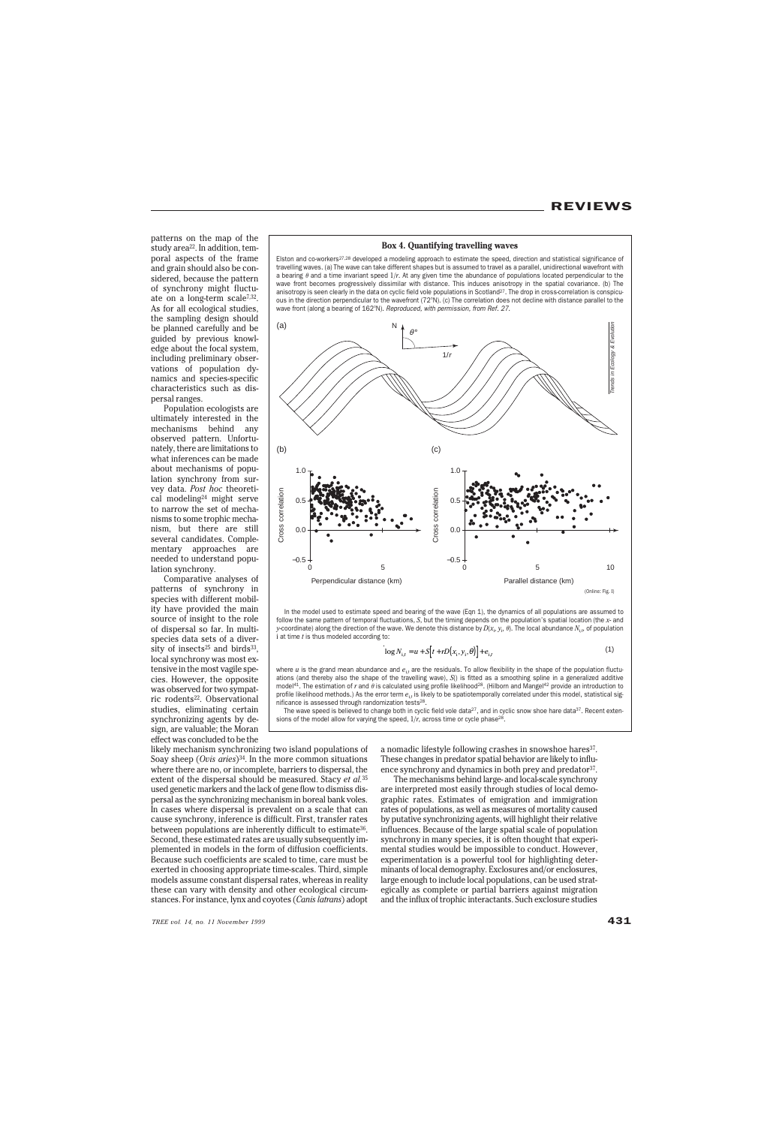patterns on the map of the study area<sup>22</sup>. In addition, temporal aspects of the frame and grain should also be considered, because the pattern of synchrony might fluctuate on a long-term scale7,32. As for all ecological studies, the sampling design should be planned carefully and be guided by previous knowledge about the focal system, including preliminary observations of population dynamics and species-specific characteristics such as dispersal ranges.

Population ecologists are ultimately interested in the mechanisms behind any observed pattern. Unfortunately, there are limitations to what inferences can be made about mechanisms of population synchrony from survey data. *Post hoc* theoretical modeling24 might serve to narrow the set of mechanisms to some trophic mechanism, but there are still several candidates. Complementary approaches are needed to understand population synchrony.

Comparative analyses of patterns of synchrony in species with different mobility have provided the main source of insight to the role of dispersal so far. In multispecies data sets of a diversity of insects<sup>25</sup> and birds<sup>33</sup>, local synchrony was most extensive in the most vagile species. However, the opposite was observed for two sympatric rodents<sup>22</sup>. Observational studies, eliminating certain synchronizing agents by design, are valuable; the Moran effect was concluded to be the

# **Box 4. Quantifying travelling waves**

Elston and co-workers<sup>27,28</sup> developed a modeling approach to estimate the speed, direction and statistical significance of travelling waves. (a) The wave can take different shapes but is assumed to travel as a parallel, unidirectional wavefront with a bearing  $\theta$  and a time invariant speed  $1/r$ . At any given time the abundance of populations located perpendicular to the wave front becomes progressively dissimilar with distance. This induces anisotropy in the spatial covariance. (b) The anisotropy is seen clearly in the data on cyclic field vole populations in Scotland<sup>27</sup>. The drop in cross-correlation is conspicuous in the direction perpendicular to the wavefront (72°N). (c) The correlation does not decline with distance parallel to the wave front (along a bearing of 162°N). Reproduced, with permission, from Ref. 27.



In the model used to estimate speed and bearing of the wave (Eqn 1), the dynamics of all populations are assumed to follow the same pattern of temporal fluctuations, *S*, but the timing depends on the population's spatial location (the *x*- and *y*-coordinate) along the direction of the wave. We denote this distance by *D*(*x*<sub>i</sub>, *y*<sub>i</sub>, θ). The local abundance *N<sub>i,t</sub>*, of population i at time *t* is thus modeled according to:

$$
\log N_{i,t} = u + S[t + rD(x_i, y_i, \theta)] + e_{i,t}
$$
 (1)

where *u* is the grand mean abundance and  $e_{i,t}$  are the residuals. To allow flexibility in the shape of the population fluctuations (and thereby also the shape of the travelling wave), *S*() is fitted as a smoothing spline in a generalized additive model<sup>41</sup>. The estimation of *r* and  $\theta$  is calculated using profile likelihood<sup>28</sup>. (Hilborn and Mangel<sup>42</sup> provide an introduction to profile likelihood methods.) As the error term  $e_i$ , is likely to be spatiotemporally correlated under this model, statistical significance is assessed through randomization tests<sup>28</sup>.

The wave speed is believed to change both in cyclic field vole data<sup>27</sup>, and in cyclic snow shoe hare data<sup>37</sup>. Recent extensions of the model allow for varying the speed,  $1/r$ , across time or cycle phase<sup>28</sup>.

likely mechanism synchronizing two island populations of Soay sheep (*Ovis aries*)<sup>34</sup>. In the more common situations where there are no, or incomplete, barriers to dispersal, the extent of the dispersal should be measured. Stacy *et al.*<sup>35</sup> used genetic markers and the lack of gene flow to dismiss dispersal as the synchronizing mechanism in boreal bank voles. In cases where dispersal is prevalent on a scale that can cause synchrony, inference is difficult. First, transfer rates between populations are inherently difficult to estimate<sup>36</sup>. Second, these estimated rates are usually subsequently implemented in models in the form of diffusion coefficients. Because such coefficients are scaled to time, care must be exerted in choosing appropriate time-scales. Third, simple models assume constant dispersal rates, whereas in reality these can vary with density and other ecological circumstances. For instance, lynx and coyotes (*Canis latrans*) adopt a nomadic lifestyle following crashes in snowshoe hares<sup>37</sup>. These changes in predator spatial behavior are likely to influence synchrony and dynamics in both prey and predator<sup>37</sup>.

The mechanisms behind large- and local-scale synchrony are interpreted most easily through studies of local demographic rates. Estimates of emigration and immigration rates of populations, as well as measures of mortality caused by putative synchronizing agents, will highlight their relative influences. Because of the large spatial scale of population synchrony in many species, it is often thought that experimental studies would be impossible to conduct. However, experimentation is a powerful tool for highlighting determinants of local demography. Exclosures and/or enclosures, large enough to include local populations, can be used strategically as complete or partial barriers against migration and the influx of trophic interactants. Such exclosure studies